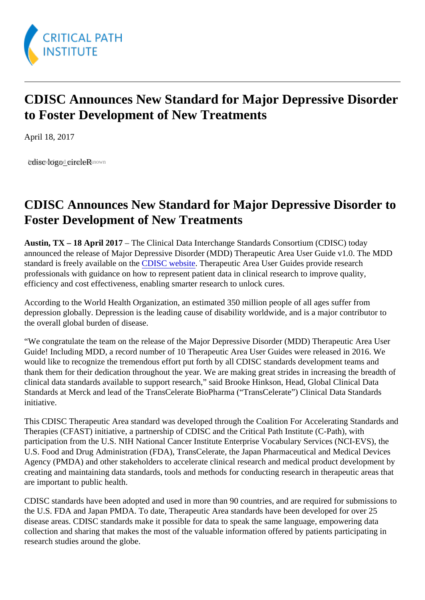## CDISC Announces New Standard for Major Depressive Disorder to Foster Development of New Treatments

April 18, 2017

bdisc dogod or not e Rknown

## CDISC Announces New Standard for Major Depressive Disorder to Foster Development of New Treatments

Austin, TX – 18 April 2017 – The Clinical Data Interchange Standards Consortium (CDISC) today announced the release of Major Depressive Disorder (MDD) Therapeutic Area User Guide v1.0. The MDD standard is freely available on to DISC website Therapeutic Area User Guides provide research professionals with guidance on how to represent patient data in clinical research to improve quality, efficiency and cost effectiveness, enabling smarter research to unlock cures.

According to the World Health Organization, an estimated 350 million people of all ages suffer from depression globally. Depression is the leading cause of disability worldwide, and is a major contributor to the overall global burden of disease.

"We congratulate the team on the release of the Major Depressive Disorder (MDD) Therapeutic Area User Guide! Including MDD, a record number of 10 Therapeutic Area User Guides were released in 2016. We would like to recognize the tremendous effort put forth by all CDISC standards development teams and thank them for their dedication throughout the year. We are making great strides in increasing the breadth clinical data standards available to support research," said Brooke Hinkson, Head, Global Clinical Data Standards at Merck and lead of the TransCelerate BioPharma ("TransCelerate") Clinical Data Standards initiative.

This CDISC Therapeutic Area standard was developed through the Coalition For Accelerating Standards and Therapies (CFAST) initiative, a partnership of CDISC and the Critical Path Institute (C-Path), with participation from the U.S. NIH National Cancer Institute Enterprise Vocabulary Services (NCI-EVS), the U.S. Food and Drug Administration (FDA), TransCelerate, the Japan Pharmaceutical and Medical Devices Agency (PMDA) and other stakeholders to accelerate clinical research and medical product development creating and maintaining data standards, tools and methods for conducting research in therapeutic areas that are important to public health.

CDISC standards have been adopted and used in more than 90 countries, and are required for submissio the U.S. FDA and Japan PMDA. To date, Therapeutic Area standards have been developed for over 25 disease areas. CDISC standards make it possible for data to speak the same language, empowering data collection and sharing that makes the most of the valuable information offered by patients participating in research studies around the globe.